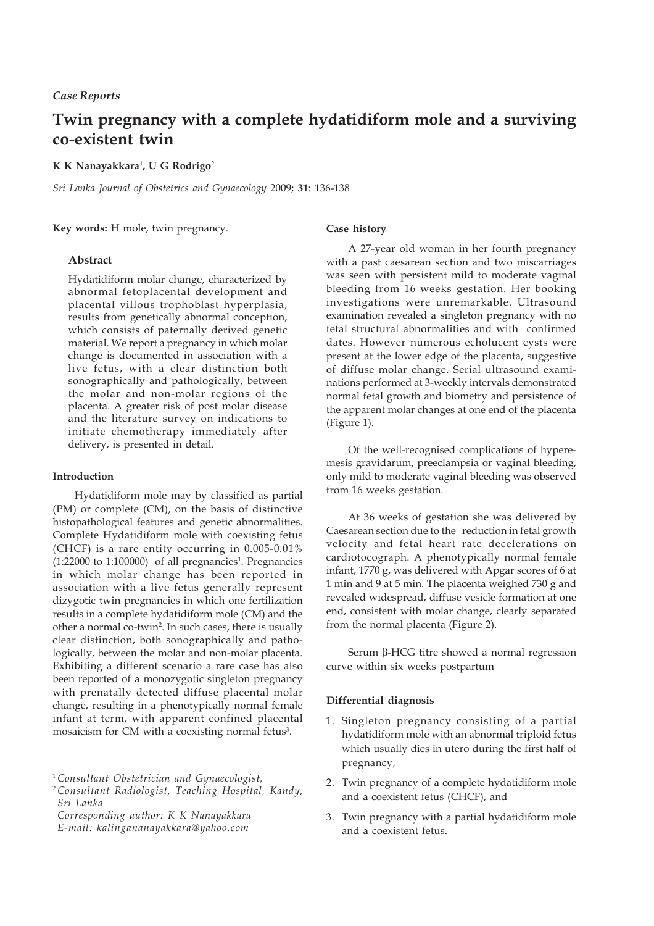## *Case Reports*

# **Twin pregnancy with a complete hydatidiform mole and a surviving co-existent twin**

#### **K K Nanayakkara**<sup>1</sup> **, U G Rodrigo**<sup>2</sup>

*Sri Lanka Journal of Obstetrics and Gynaecology* 2009; **31**: 136-138

**Key words:** H mole, twin pregnancy.

## **Abstract**

Hydatidiform molar change, characterized by abnormal fetoplacental development and placental villous trophoblast hyperplasia, results from genetically abnormal conception, which consists of paternally derived genetic material. We report a pregnancy in which molar change is documented in association with a live fetus, with a clear distinction both sonographically and pathologically, between the molar and non-molar regions of the placenta. A greater risk of post molar disease and the literature survey on indications to initiate chemotherapy immediately after delivery, is presented in detail.

## **Introduction**

Hydatidiform mole may by classified as partial (PM) or complete (CM), on the basis of distinctive histopathological features and genetic abnormalities. Complete Hydatidiform mole with coexisting fetus (CHCF) is a rare entity occurring in 0.005-0.01%  $(1:22000 \text{ to } 1:100000)$  of all pregnancies<sup>1</sup>. Pregnancies in which molar change has been reported in association with a live fetus generally represent dizygotic twin pregnancies in which one fertilization results in a complete hydatidiform mole (CM) and the other a normal co-twin<sup>2</sup>. In such cases, there is usually clear distinction, both sonographically and pathologically, between the molar and non-molar placenta. Exhibiting a different scenario a rare case has also been reported of a monozygotic singleton pregnancy with prenatally detected diffuse placental molar change, resulting in a phenotypically normal female infant at term, with apparent confined placental mosaicism for CM with a coexisting normal fetus<sup>3</sup>.

*Corresponding author: K K Nanayakkara E-mail: kalingananayakkara@yahoo.com*

#### **Case history**

A 27-year old woman in her fourth pregnancy with a past caesarean section and two miscarriages was seen with persistent mild to moderate vaginal bleeding from 16 weeks gestation. Her booking investigations were unremarkable. Ultrasound examination revealed a singleton pregnancy with no fetal structural abnormalities and with confirmed dates. However numerous echolucent cysts were present at the lower edge of the placenta, suggestive of diffuse molar change. Serial ultrasound examinations performed at 3-weekly intervals demonstrated normal fetal growth and biometry and persistence of the apparent molar changes at one end of the placenta (Figure 1).

Of the well-recognised complications of hyperemesis gravidarum, preeclampsia or vaginal bleeding, only mild to moderate vaginal bleeding was observed from 16 weeks gestation.

At 36 weeks of gestation she was delivered by Caesarean section due to the reduction in fetal growth velocity and fetal heart rate decelerations on cardiotocograph. A phenotypically normal female infant, 1770 g, was delivered with Apgar scores of 6 at 1 min and 9 at 5 min. The placenta weighed 730 g and revealed widespread, diffuse vesicle formation at one end, consistent with molar change, clearly separated from the normal placenta (Figure 2).

Serum  $\beta$ -HCG titre showed a normal regression curve within six weeks postpartum

#### **Differential diagnosis**

- 1. Singleton pregnancy consisting of a partial hydatidiform mole with an abnormal triploid fetus which usually dies in utero during the first half of pregnancy,
- 2. Twin pregnancy of a complete hydatidiform mole and a coexistent fetus (CHCF), and
- 3. Twin pregnancy with a partial hydatidiform mole and a coexistent fetus.

<sup>1</sup>*Consultant Obstetrician and Gynaecologist,*

<sup>2</sup>*Consultant Radiologist, Teaching Hospital, Kandy, Sri Lanka*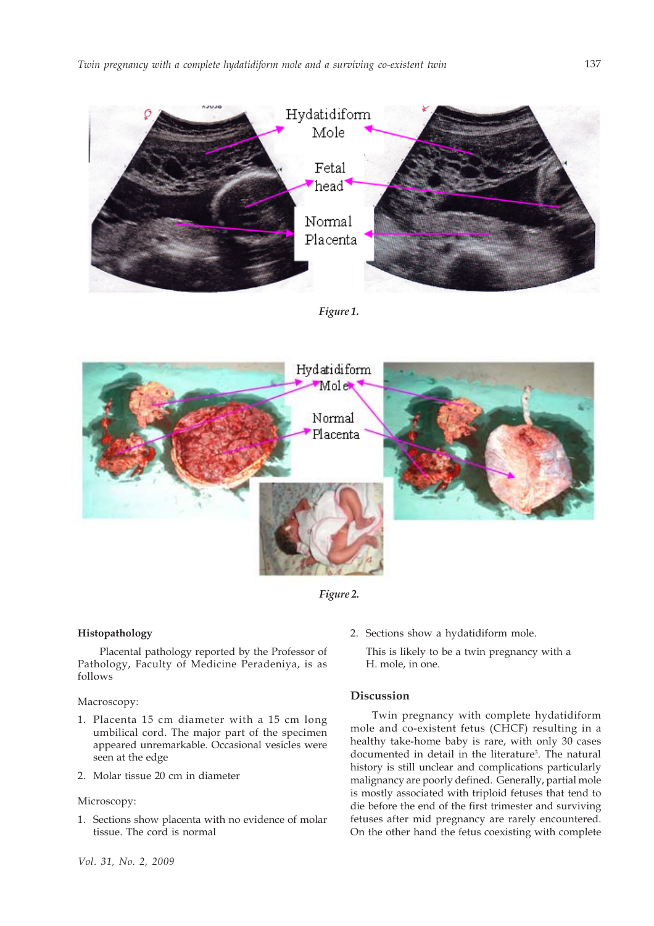

*Figure 1.*



*Figure 2.*

## **Histopathology**

Placental pathology reported by the Professor of Pathology, Faculty of Medicine Peradeniya, is as follows

### Macroscopy:

- 1. Placenta 15 cm diameter with a 15 cm long umbilical cord. The major part of the specimen appeared unremarkable. Occasional vesicles were seen at the edge
- 2. Molar tissue 20 cm in diameter

#### Microscopy:

1. Sections show placenta with no evidence of molar tissue. The cord is normal

2. Sections show a hydatidiform mole.

This is likely to be a twin pregnancy with a H. mole, in one.

# **Discussion**

Twin pregnancy with complete hydatidiform mole and co-existent fetus (CHCF) resulting in a healthy take-home baby is rare, with only 30 cases documented in detail in the literature<sup>3</sup>. The natural history is still unclear and complications particularly malignancy are poorly defined. Generally, partial mole is mostly associated with triploid fetuses that tend to die before the end of the first trimester and surviving fetuses after mid pregnancy are rarely encountered. On the other hand the fetus coexisting with complete